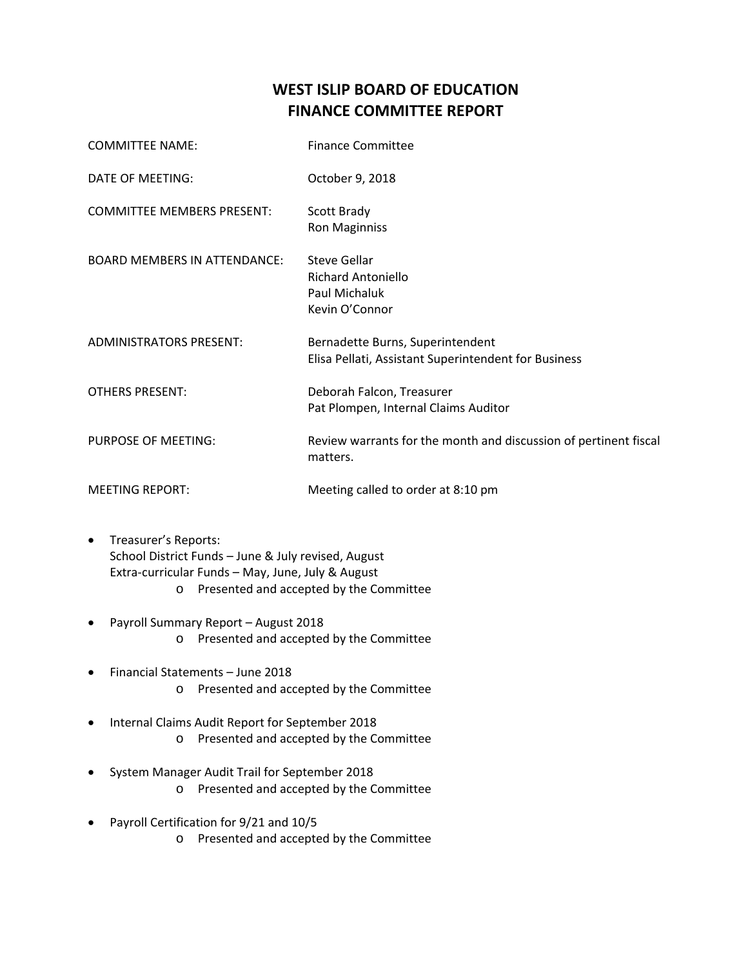## **WEST ISLIP BOARD OF EDUCATION FINANCE COMMITTEE REPORT**

| <b>COMMITTEE NAME:</b>              | <b>Finance Committee</b>                                                                 |
|-------------------------------------|------------------------------------------------------------------------------------------|
| DATE OF MEETING:                    | October 9, 2018                                                                          |
| <b>COMMITTEE MEMBERS PRESENT:</b>   | Scott Brady<br><b>Ron Maginniss</b>                                                      |
| <b>BOARD MEMBERS IN ATTENDANCE:</b> | <b>Steve Gellar</b><br>Richard Antoniello<br>Paul Michaluk<br>Kevin O'Connor             |
| <b>ADMINISTRATORS PRESENT:</b>      | Bernadette Burns, Superintendent<br>Elisa Pellati, Assistant Superintendent for Business |
| <b>OTHERS PRESENT:</b>              | Deborah Falcon, Treasurer<br>Pat Plompen, Internal Claims Auditor                        |
| PURPOSE OF MEETING:                 | Review warrants for the month and discussion of pertinent fiscal<br>matters.             |
| <b>MEETING REPORT:</b>              | Meeting called to order at 8:10 pm                                                       |

- Treasurer's Reports: School District Funds – June & July revised, August Extra‐curricular Funds – May, June, July & August o Presented and accepted by the Committee
- Payroll Summary Report August 2018 o Presented and accepted by the Committee
- Financial Statements June 2018 o Presented and accepted by the Committee
- Internal Claims Audit Report for September 2018 o Presented and accepted by the Committee
- System Manager Audit Trail for September 2018 o Presented and accepted by the Committee
- Payroll Certification for 9/21 and 10/5 o Presented and accepted by the Committee